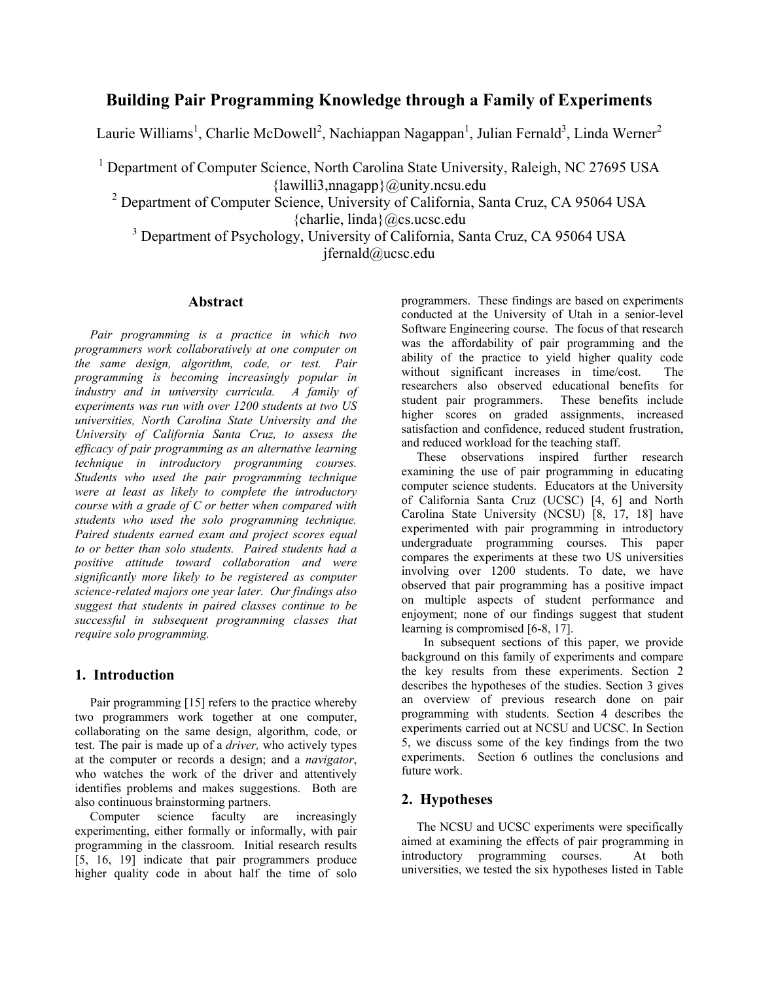# **Building Pair Programming Knowledge through a Family of Experiments**

Laurie Williams<sup>1</sup>, Charlie McDowell<sup>2</sup>, Nachiappan Nagappan<sup>1</sup>, Julian Fernald<sup>3</sup>, Linda Werner<sup>2</sup>

<sup>1</sup> Department of Computer Science, North Carolina State University, Raleigh, NC 27695 USA {lawilli3,nnagapp}@unity.ncsu.edu

<sup>2</sup> Department of Computer Science, University of California, Santa Cruz, CA 95064 USA {charlie, linda}@cs.ucsc.edu

<sup>3</sup> Department of Psychology, University of California, Santa Cruz, CA 95064 USA

jfernald@ucsc.edu

# **Abstract**

*Pair programming is a practice in which two programmers work collaboratively at one computer on the same design, algorithm, code, or test. Pair programming is becoming increasingly popular in industry and in university curricula. A family of experiments was run with over 1200 students at two US universities, North Carolina State University and the University of California Santa Cruz, to assess the efficacy of pair programming as an alternative learning technique in introductory programming courses. Students who used the pair programming technique were at least as likely to complete the introductory course with a grade of C or better when compared with students who used the solo programming technique. Paired students earned exam and project scores equal to or better than solo students. Paired students had a positive attitude toward collaboration and were significantly more likely to be registered as computer science-related majors one year later. Our findings also suggest that students in paired classes continue to be successful in subsequent programming classes that require solo programming.* 

# **1. Introduction**

Pair programming [15] refers to the practice whereby two programmers work together at one computer, collaborating on the same design, algorithm, code, or test. The pair is made up of a *driver,* who actively types at the computer or records a design; and a *navigator*, who watches the work of the driver and attentively identifies problems and makes suggestions. Both are also continuous brainstorming partners.

Computer science faculty are increasingly experimenting, either formally or informally, with pair programming in the classroom. Initial research results [5, 16, 19] indicate that pair programmers produce higher quality code in about half the time of solo

programmers. These findings are based on experiments conducted at the University of Utah in a senior-level Software Engineering course. The focus of that research was the affordability of pair programming and the ability of the practice to yield higher quality code without significant increases in time/cost. The researchers also observed educational benefits for student pair programmers. These benefits include higher scores on graded assignments, increased satisfaction and confidence, reduced student frustration, and reduced workload for the teaching staff.

These observations inspired further research examining the use of pair programming in educating computer science students. Educators at the University of California Santa Cruz (UCSC) [4, 6] and North Carolina State University (NCSU) [8, 17, 18] have experimented with pair programming in introductory undergraduate programming courses. This paper compares the experiments at these two US universities involving over 1200 students. To date, we have observed that pair programming has a positive impact on multiple aspects of student performance and enjoyment; none of our findings suggest that student learning is compromised [6-8, 17].

 In subsequent sections of this paper, we provide background on this family of experiments and compare the key results from these experiments. Section 2 describes the hypotheses of the studies. Section 3 gives an overview of previous research done on pair programming with students. Section 4 describes the experiments carried out at NCSU and UCSC. In Section 5, we discuss some of the key findings from the two experiments. Section 6 outlines the conclusions and future work.

# **2. Hypotheses**

The NCSU and UCSC experiments were specifically aimed at examining the effects of pair programming in introductory programming courses. At both universities, we tested the six hypotheses listed in Table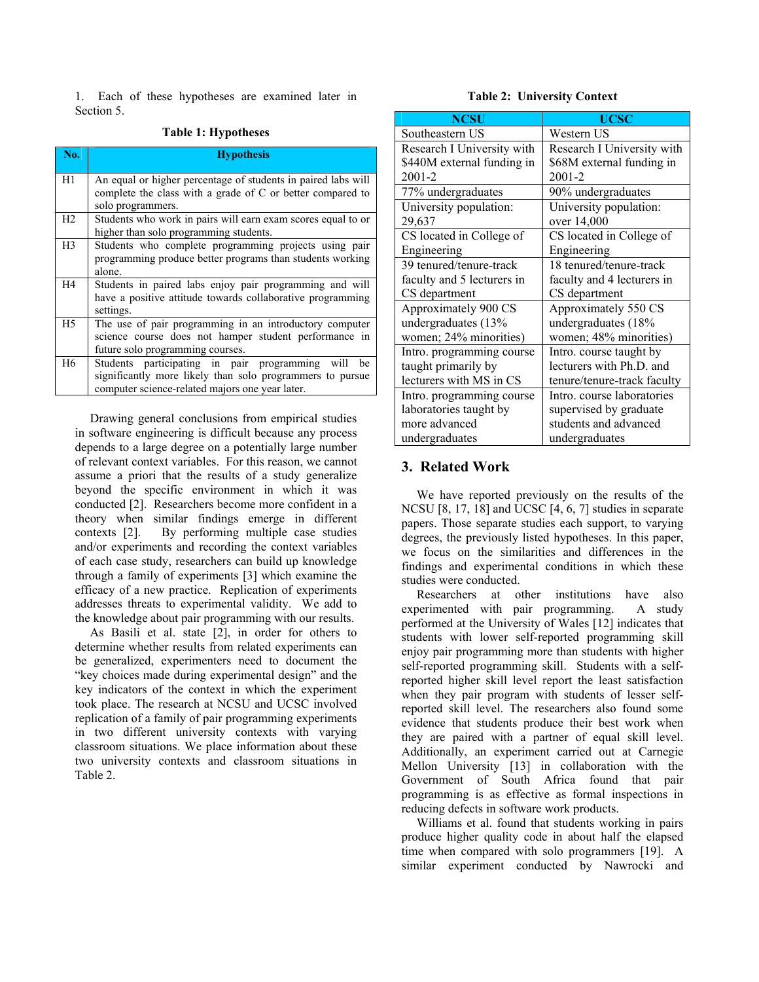1. Each of these hypotheses are examined later in Section 5.

#### **Table 1: Hypotheses**

| No.            | <b>Hypothesis</b>                                                                                                                                                           |
|----------------|-----------------------------------------------------------------------------------------------------------------------------------------------------------------------------|
| H1             | An equal or higher percentage of students in paired labs will<br>complete the class with a grade of C or better compared to<br>solo programmers.                            |
| H2             | Students who work in pairs will earn exam scores equal to or<br>higher than solo programming students.                                                                      |
| H <sub>3</sub> | Students who complete programming projects using pair<br>programming produce better programs than students working<br>alone.                                                |
| H4             | Students in paired labs enjoy pair programming and will<br>have a positive attitude towards collaborative programming<br>settings.                                          |
| H5             | The use of pair programming in an introductory computer<br>science course does not hamper student performance in<br>future solo programming courses.                        |
| H6             | participating in pair programming<br>will<br>Students<br>be<br>significantly more likely than solo programmers to pursue<br>computer science-related majors one year later. |

Drawing general conclusions from empirical studies in software engineering is difficult because any process depends to a large degree on a potentially large number of relevant context variables. For this reason, we cannot assume a priori that the results of a study generalize beyond the specific environment in which it was conducted [2]. Researchers become more confident in a theory when similar findings emerge in different contexts [2]. By performing multiple case studies and/or experiments and recording the context variables of each case study, researchers can build up knowledge through a family of experiments [3] which examine the efficacy of a new practice. Replication of experiments addresses threats to experimental validity. We add to the knowledge about pair programming with our results.

As Basili et al. state [2], in order for others to determine whether results from related experiments can be generalized, experimenters need to document the "key choices made during experimental design" and the key indicators of the context in which the experiment took place. The research at NCSU and UCSC involved replication of a family of pair programming experiments in two different university contexts with varying classroom situations. We place information about these two university contexts and classroom situations in Table 2.

### **Table 2: University Context**

| <b>NCSU</b>                | <b>UCSC</b>                 |
|----------------------------|-----------------------------|
| Southeastern US            | Western US                  |
| Research I University with | Research I University with  |
| \$440M external funding in | \$68M external funding in   |
| 2001-2                     | 2001-2                      |
| 77% undergraduates         | 90% undergraduates          |
| University population:     | University population:      |
| 29,637                     | over 14,000                 |
| CS located in College of   | CS located in College of    |
| Engineering                | Engineering                 |
| 39 tenured/tenure-track    | 18 tenured/tenure-track     |
| faculty and 5 lecturers in | faculty and 4 lecturers in  |
| CS department              | CS department               |
| Approximately 900 CS       | Approximately 550 CS        |
| undergraduates (13%        | undergraduates (18%         |
| women; 24% minorities)     | women; 48% minorities)      |
| Intro. programming course  | Intro. course taught by     |
| taught primarily by        | lecturers with Ph.D. and    |
| lecturers with MS in CS    | tenure/tenure-track faculty |
| Intro. programming course  | Intro, course laboratories  |
| laboratories taught by     | supervised by graduate      |
| more advanced              | students and advanced       |
| undergraduates             | undergraduates              |

# **3. Related Work**

We have reported previously on the results of the NCSU [8, 17, 18] and UCSC [4, 6, 7] studies in separate papers. Those separate studies each support, to varying degrees, the previously listed hypotheses. In this paper, we focus on the similarities and differences in the findings and experimental conditions in which these studies were conducted.

Researchers at other institutions have also experimented with pair programming. A study performed at the University of Wales [12] indicates that students with lower self-reported programming skill enjoy pair programming more than students with higher self-reported programming skill. Students with a selfreported higher skill level report the least satisfaction when they pair program with students of lesser selfreported skill level. The researchers also found some evidence that students produce their best work when they are paired with a partner of equal skill level. Additionally, an experiment carried out at Carnegie Mellon University [13] in collaboration with the Government of South Africa found that pair programming is as effective as formal inspections in reducing defects in software work products.

Williams et al. found that students working in pairs produce higher quality code in about half the elapsed time when compared with solo programmers [19]. A similar experiment conducted by Nawrocki and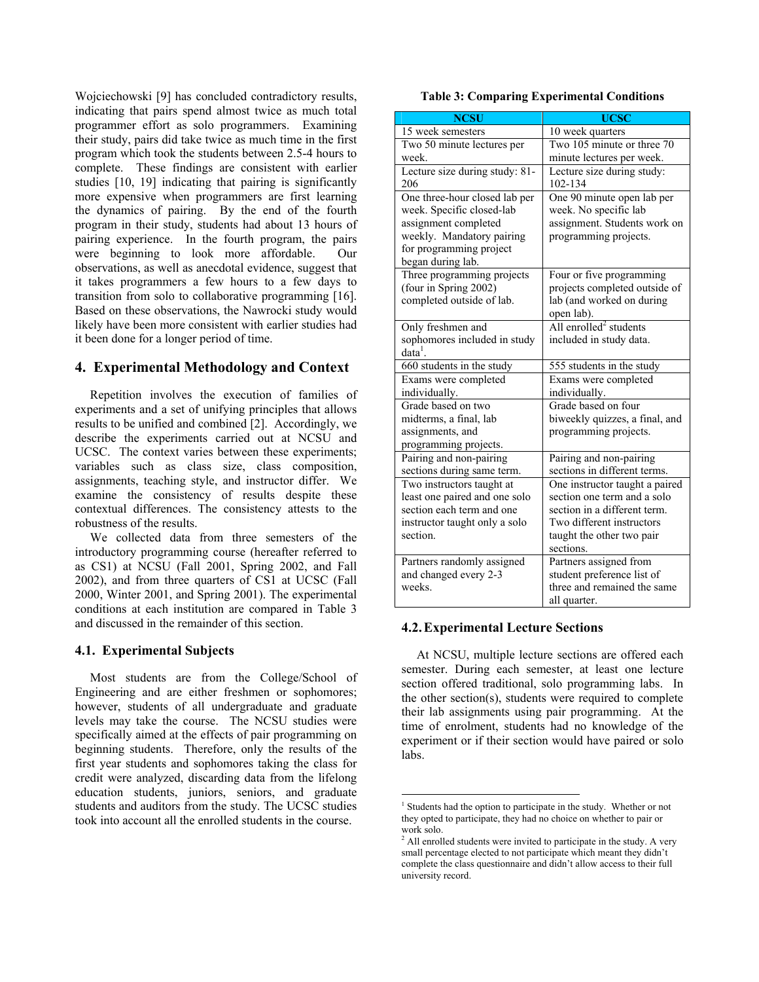Wojciechowski [9] has concluded contradictory results, indicating that pairs spend almost twice as much total programmer effort as solo programmers. Examining their study, pairs did take twice as much time in the first program which took the students between 2.5-4 hours to complete. These findings are consistent with earlier studies [10, 19] indicating that pairing is significantly more expensive when programmers are first learning the dynamics of pairing. By the end of the fourth program in their study, students had about 13 hours of pairing experience. In the fourth program, the pairs were beginning to look more affordable. Our observations, as well as anecdotal evidence, suggest that it takes programmers a few hours to a few days to transition from solo to collaborative programming [16]. Based on these observations, the Nawrocki study would likely have been more consistent with earlier studies had it been done for a longer period of time.

# **4. Experimental Methodology and Context**

Repetition involves the execution of families of experiments and a set of unifying principles that allows results to be unified and combined [2]. Accordingly, we describe the experiments carried out at NCSU and UCSC. The context varies between these experiments; variables such as class size, class composition, assignments, teaching style, and instructor differ. We examine the consistency of results despite these contextual differences. The consistency attests to the robustness of the results.

We collected data from three semesters of the introductory programming course (hereafter referred to as CS1) at NCSU (Fall 2001, Spring 2002, and Fall 2002), and from three quarters of CS1 at UCSC (Fall 2000, Winter 2001, and Spring 2001). The experimental conditions at each institution are compared in Table 3 and discussed in the remainder of this section.

### **4.1. Experimental Subjects**

Most students are from the College/School of Engineering and are either freshmen or sophomores; however, students of all undergraduate and graduate levels may take the course. The NCSU studies were specifically aimed at the effects of pair programming on beginning students. Therefore, only the results of the first year students and sophomores taking the class for credit were analyzed, discarding data from the lifelong education students, juniors, seniors, and graduate students and auditors from the study. The UCSC studies took into account all the enrolled students in the course.

|  |  |  |  |  | <b>Table 3: Comparing Experimental Conditions</b> |
|--|--|--|--|--|---------------------------------------------------|
|--|--|--|--|--|---------------------------------------------------|

| <b>NCSU</b>                    | <b>UCSC</b>                                               |
|--------------------------------|-----------------------------------------------------------|
| 15 week semesters              | 10 week quarters                                          |
| Two 50 minute lectures per     | Two 105 minute or three 70                                |
| week.                          | minute lectures per week.                                 |
| Lecture size during study: 81- | Lecture size during study:                                |
| 206                            | 102-134                                                   |
| One three-hour closed lab per  | One 90 minute open lab per                                |
| week. Specific closed-lab      | week. No specific lab                                     |
| assignment completed           | assignment. Students work on                              |
| weekly. Mandatory pairing      | programming projects.                                     |
| for programming project        |                                                           |
| began during lab.              |                                                           |
| Three programming projects     | Four or five programming                                  |
| (four in Spring 2002)          | projects completed outside of                             |
| completed outside of lab.      | lab (and worked on during                                 |
|                                | open lab).                                                |
| Only freshmen and              | All enrolled <sup>2</sup> students                        |
| sophomores included in study   | included in study data.                                   |
| $data1$ .                      |                                                           |
| 660 students in the study      | 555 students in the study                                 |
| Exams were completed           | Exams were completed                                      |
| individually.                  | individually.                                             |
| Grade based on two             | Grade based on four                                       |
| midterms, a final, lab         | biweekly quizzes, a final, and                            |
| assignments, and               | programming projects.                                     |
| programming projects.          |                                                           |
| Pairing and non-pairing        | Pairing and non-pairing                                   |
| sections during same term.     | sections in different terms.                              |
| Two instructors taught at      | One instructor taught a paired                            |
| least one paired and one solo  | section one term and a solo                               |
| section each term and one      | section in a different term.                              |
| instructor taught only a solo  | Two different instructors                                 |
| section.                       | taught the other two pair                                 |
|                                | sections.                                                 |
| Partners randomly assigned     | Partners assigned from                                    |
| and changed every 2-3<br>weeks | student preference list of<br>three and remained the same |
|                                |                                                           |
|                                | all quarter.                                              |

### **4.2.Experimental Lecture Sections**

 $\overline{a}$ 

At NCSU, multiple lecture sections are offered each semester. During each semester, at least one lecture section offered traditional, solo programming labs. In the other section(s), students were required to complete their lab assignments using pair programming. At the time of enrolment, students had no knowledge of the experiment or if their section would have paired or solo labs.

<sup>&</sup>lt;sup>1</sup> Students had the option to participate in the study. Whether or not they opted to participate, they had no choice on whether to pair or work solo.

 $2$  All enrolled students were invited to participate in the study. A very small percentage elected to not participate which meant they didn't complete the class questionnaire and didn't allow access to their full university record.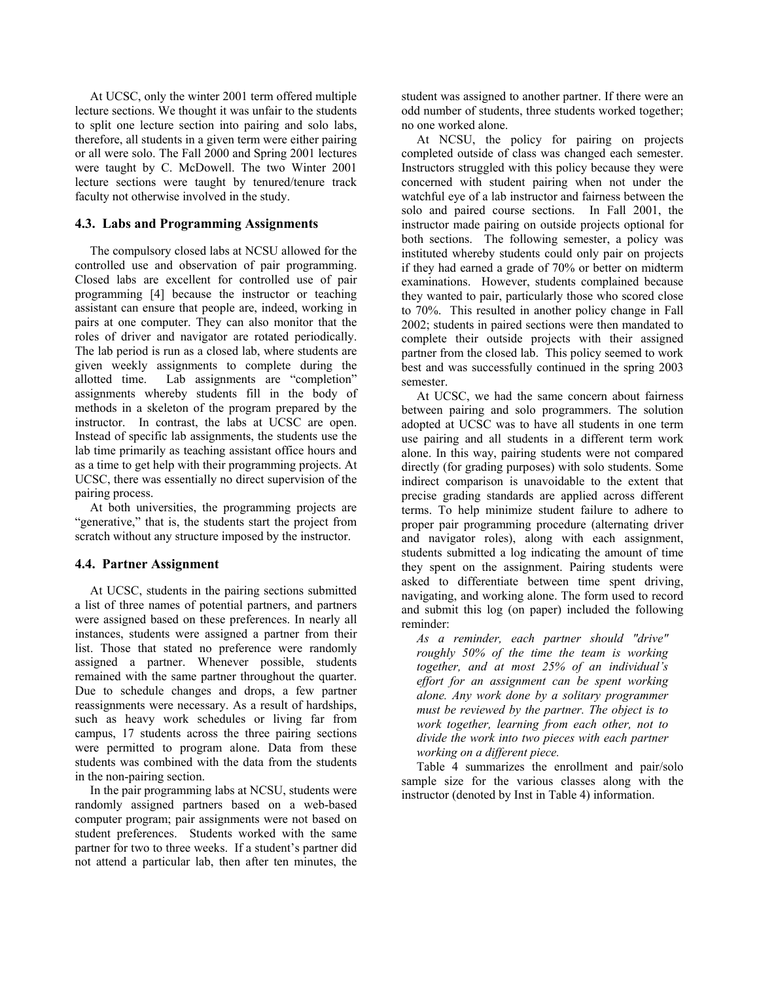At UCSC, only the winter 2001 term offered multiple lecture sections. We thought it was unfair to the students to split one lecture section into pairing and solo labs, therefore, all students in a given term were either pairing or all were solo. The Fall 2000 and Spring 2001 lectures were taught by C. McDowell. The two Winter 2001 lecture sections were taught by tenured/tenure track faculty not otherwise involved in the study.

### **4.3. Labs and Programming Assignments**

The compulsory closed labs at NCSU allowed for the controlled use and observation of pair programming. Closed labs are excellent for controlled use of pair programming [4] because the instructor or teaching assistant can ensure that people are, indeed, working in pairs at one computer. They can also monitor that the roles of driver and navigator are rotated periodically. The lab period is run as a closed lab, where students are given weekly assignments to complete during the allotted time. Lab assignments are "completion" assignments whereby students fill in the body of methods in a skeleton of the program prepared by the instructor. In contrast, the labs at UCSC are open. Instead of specific lab assignments, the students use the lab time primarily as teaching assistant office hours and as a time to get help with their programming projects. At UCSC, there was essentially no direct supervision of the pairing process.

At both universities, the programming projects are "generative," that is, the students start the project from scratch without any structure imposed by the instructor.

#### **4.4. Partner Assignment**

At UCSC, students in the pairing sections submitted a list of three names of potential partners, and partners were assigned based on these preferences. In nearly all instances, students were assigned a partner from their list. Those that stated no preference were randomly assigned a partner. Whenever possible, students remained with the same partner throughout the quarter. Due to schedule changes and drops, a few partner reassignments were necessary. As a result of hardships, such as heavy work schedules or living far from campus, 17 students across the three pairing sections were permitted to program alone. Data from these students was combined with the data from the students in the non-pairing section.

In the pair programming labs at NCSU, students were randomly assigned partners based on a web-based computer program; pair assignments were not based on student preferences. Students worked with the same partner for two to three weeks. If a student's partner did not attend a particular lab, then after ten minutes, the

student was assigned to another partner. If there were an odd number of students, three students worked together; no one worked alone.

At NCSU, the policy for pairing on projects completed outside of class was changed each semester. Instructors struggled with this policy because they were concerned with student pairing when not under the watchful eye of a lab instructor and fairness between the solo and paired course sections. In Fall 2001, the instructor made pairing on outside projects optional for both sections. The following semester, a policy was instituted whereby students could only pair on projects if they had earned a grade of 70% or better on midterm examinations. However, students complained because they wanted to pair, particularly those who scored close to 70%. This resulted in another policy change in Fall 2002; students in paired sections were then mandated to complete their outside projects with their assigned partner from the closed lab. This policy seemed to work best and was successfully continued in the spring 2003 semester.

At UCSC, we had the same concern about fairness between pairing and solo programmers. The solution adopted at UCSC was to have all students in one term use pairing and all students in a different term work alone. In this way, pairing students were not compared directly (for grading purposes) with solo students. Some indirect comparison is unavoidable to the extent that precise grading standards are applied across different terms. To help minimize student failure to adhere to proper pair programming procedure (alternating driver and navigator roles), along with each assignment, students submitted a log indicating the amount of time they spent on the assignment. Pairing students were asked to differentiate between time spent driving, navigating, and working alone. The form used to record and submit this log (on paper) included the following reminder:

*As a reminder, each partner should "drive" roughly 50% of the time the team is working together, and at most 25% of an individual's effort for an assignment can be spent working alone. Any work done by a solitary programmer must be reviewed by the partner. The object is to work together, learning from each other, not to divide the work into two pieces with each partner working on a different piece.* 

Table 4 summarizes the enrollment and pair/solo sample size for the various classes along with the instructor (denoted by Inst in Table 4) information.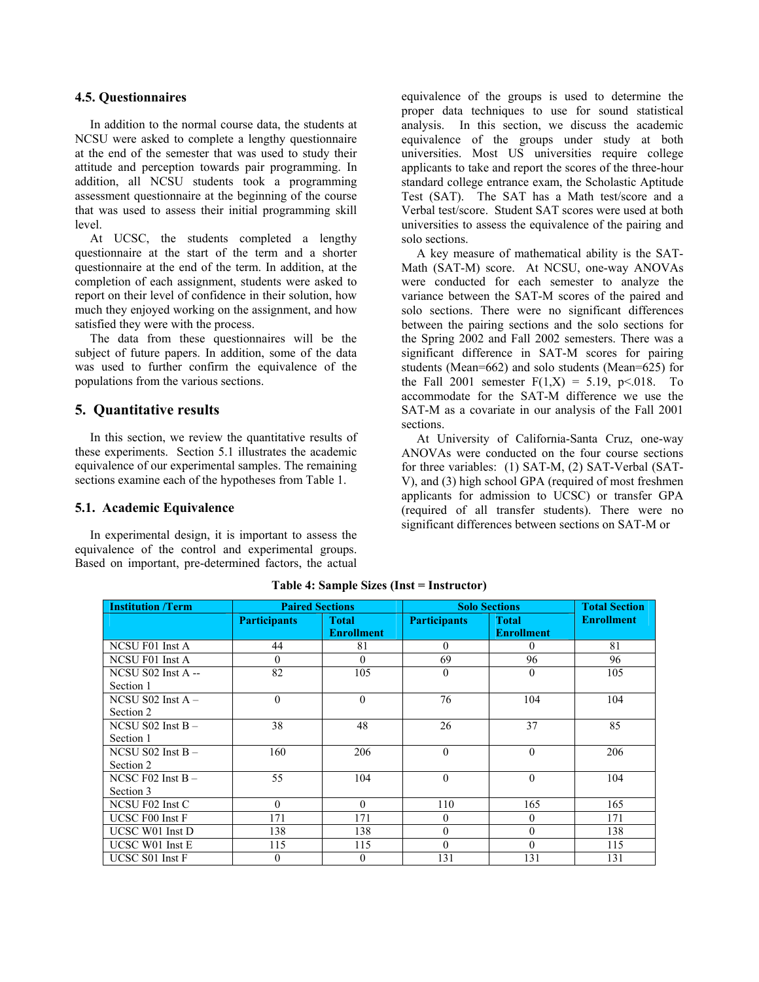#### **4.5. Questionnaires**

In addition to the normal course data, the students at NCSU were asked to complete a lengthy questionnaire at the end of the semester that was used to study their attitude and perception towards pair programming. In addition, all NCSU students took a programming assessment questionnaire at the beginning of the course that was used to assess their initial programming skill level.

At UCSC, the students completed a lengthy questionnaire at the start of the term and a shorter questionnaire at the end of the term. In addition, at the completion of each assignment, students were asked to report on their level of confidence in their solution, how much they enjoyed working on the assignment, and how satisfied they were with the process.

The data from these questionnaires will be the subject of future papers. In addition, some of the data was used to further confirm the equivalence of the populations from the various sections.

#### **5. Quantitative results**

In this section, we review the quantitative results of these experiments. Section 5.1 illustrates the academic equivalence of our experimental samples. The remaining sections examine each of the hypotheses from Table 1.

#### **5.1. Academic Equivalence**

In experimental design, it is important to assess the equivalence of the control and experimental groups. Based on important, pre-determined factors, the actual

equivalence of the groups is used to determine the proper data techniques to use for sound statistical analysis. In this section, we discuss the academic equivalence of the groups under study at both universities. Most US universities require college applicants to take and report the scores of the three-hour standard college entrance exam, the Scholastic Aptitude Test (SAT). The SAT has a Math test/score and a Verbal test/score. Student SAT scores were used at both universities to assess the equivalence of the pairing and solo sections.

A key measure of mathematical ability is the SAT-Math (SAT-M) score. At NCSU, one-way ANOVAs were conducted for each semester to analyze the variance between the SAT-M scores of the paired and solo sections. There were no significant differences between the pairing sections and the solo sections for the Spring 2002 and Fall 2002 semesters. There was a significant difference in SAT-M scores for pairing students (Mean=662) and solo students (Mean=625) for the Fall 2001 semester  $F(1,X) = 5.19$ , p<.018. To accommodate for the SAT-M difference we use the SAT-M as a covariate in our analysis of the Fall 2001 sections.

At University of California-Santa Cruz, one-way ANOVAs were conducted on the four course sections for three variables: (1) SAT-M, (2) SAT-Verbal (SAT-V), and (3) high school GPA (required of most freshmen applicants for admission to UCSC) or transfer GPA (required of all transfer students). There were no significant differences between sections on SAT-M or

| <b>Institution /Term</b> | <b>Paired Sections</b> |                   | <b>Solo Sections</b> | <b>Total Section</b> |                   |
|--------------------------|------------------------|-------------------|----------------------|----------------------|-------------------|
|                          | <b>Participants</b>    | <b>Total</b>      | <b>Participants</b>  | <b>Total</b>         | <b>Enrollment</b> |
|                          |                        | <b>Enrollment</b> |                      | <b>Enrollment</b>    |                   |
| NCSU F01 Inst A          | 44                     | 81                | 0                    | 0                    | 81                |
| <b>NCSU F01 Inst A</b>   | $\Omega$               | $\theta$          | 69                   | 96                   | 96                |
| NCSU S02 Inst A --       | 82                     | 105               | 0                    | $\theta$             | 105               |
| Section 1                |                        |                   |                      |                      |                   |
| NCSU S02 Inst $A -$      | $\theta$               | $\Omega$          | 76                   | 104                  | 104               |
| Section 2                |                        |                   |                      |                      |                   |
| NCSU S02 Inst $B -$      | 38                     | 48                | 26                   | 37                   | 85                |
| Section 1                |                        |                   |                      |                      |                   |
| NCSU $S$ 02 Inst B –     | 160                    | 206               | 0                    | $\theta$             | 206               |
| Section 2                |                        |                   |                      |                      |                   |
| NCSC $F02$ Inst B $-$    | 55                     | 104               | $\theta$             | $\theta$             | 104               |
| Section 3                |                        |                   |                      |                      |                   |
| NCSU F02 Inst C          | $\Omega$               | $\theta$          | 110                  | 165                  | 165               |
| UCSC F00 Inst F          | 171                    | 171               | 0                    | 0                    | 171               |
| UCSC W01 Inst D          | 138                    | 138               | $\overline{0}$       | $\theta$             | 138               |
| UCSC W01 Inst E          | 115                    | 115               | 0                    | $\Omega$             | 115               |
| UCSC S01 Inst F          | 0                      | 0                 | 131                  | 131                  | 131               |

**Table 4: Sample Sizes (Inst = Instructor)**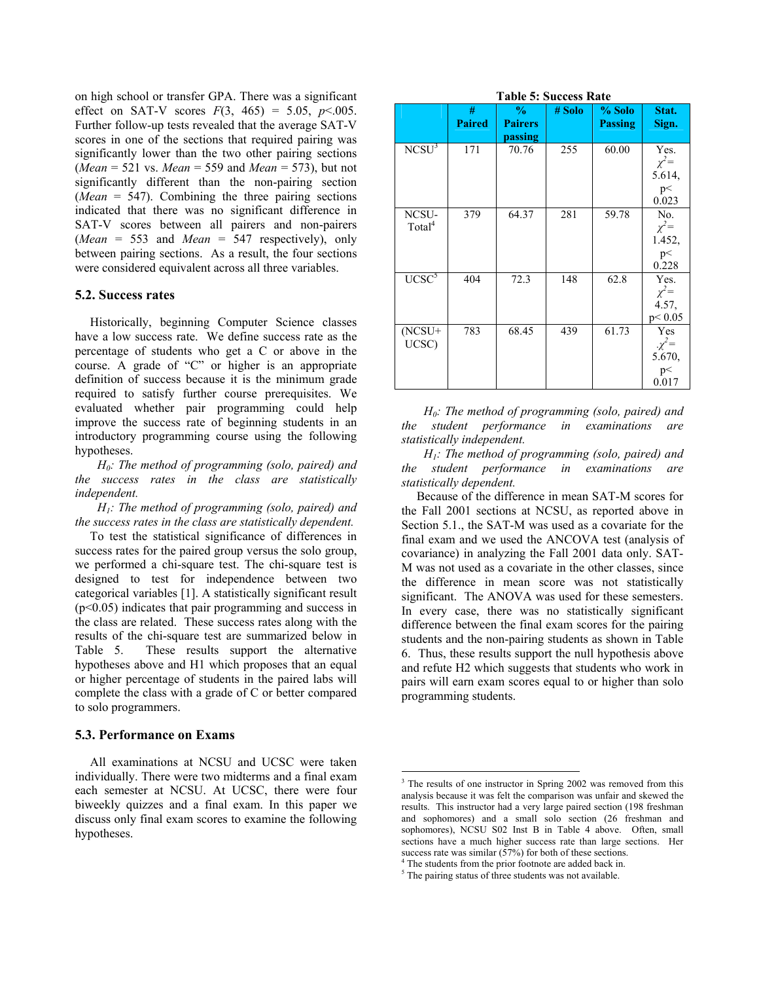on high school or transfer GPA. There was a significant effect on SAT-V scores  $F(3, 465) = 5.05, p<0.005$ . Further follow-up tests revealed that the average SAT-V scores in one of the sections that required pairing was significantly lower than the two other pairing sections (*Mean* = 521 vs. *Mean* = 559 and *Mean* = 573), but not significantly different than the non-pairing section (*Mean* = 547). Combining the three pairing sections indicated that there was no significant difference in SAT-V scores between all pairers and non-pairers (*Mean* = 553 and *Mean* = 547 respectively), only between pairing sections. As a result, the four sections were considered equivalent across all three variables.

#### **5.2. Success rates**

Historically, beginning Computer Science classes have a low success rate. We define success rate as the percentage of students who get a C or above in the course. A grade of "C" or higher is an appropriate definition of success because it is the minimum grade required to satisfy further course prerequisites. We evaluated whether pair programming could help improve the success rate of beginning students in an introductory programming course using the following hypotheses.

 *H0: The method of programming (solo, paired) and the success rates in the class are statistically independent.* 

 *H1: The method of programming (solo, paired) and the success rates in the class are statistically dependent.*

To test the statistical significance of differences in success rates for the paired group versus the solo group, we performed a chi-square test. The chi-square test is designed to test for independence between two categorical variables [1]. A statistically significant result (p<0.05) indicates that pair programming and success in the class are related. These success rates along with the results of the chi-square test are summarized below in Table 5. These results support the alternative hypotheses above and H1 which proposes that an equal or higher percentage of students in the paired labs will complete the class with a grade of C or better compared to solo programmers.

#### **5.3. Performance on Exams**

All examinations at NCSU and UCSC were taken individually. There were two midterms and a final exam each semester at NCSU. At UCSC, there were four biweekly quizzes and a final exam. In this paper we discuss only final exam scores to examine the following hypotheses.

| <b>Table 5: Success Rate</b> |
|------------------------------|
|------------------------------|

|                             | #<br><b>Paired</b> | $\frac{0}{2}$<br><b>Pairers</b><br>passing | # Solo | % Solo<br><b>Passing</b> | Stat.<br>Sign.                              |
|-----------------------------|--------------------|--------------------------------------------|--------|--------------------------|---------------------------------------------|
| NCSU <sup>3</sup>           | 171                | 70.76                                      | 255    | 60.00                    | Yes.<br>$\chi^2$ =<br>5.614,<br>p<<br>0.023 |
| NCSU-<br>Total <sup>4</sup> | 379                | 64.37                                      | 281    | 59.78                    | No.<br>$\chi^2$ =<br>1.452,<br>p<<br>0.228  |
| UCSC <sup>5</sup>           | 404                | 72.3                                       | 148    | 62.8                     | Yes.<br>$\chi^2$ =<br>4.57,<br>p < 0.05     |
| (NCSU+<br>UCSC)             | 783                | 68.45                                      | 439    | 61.73                    | Yes<br>$\chi^2$<br>5.670,<br>p<<br>0.017    |

 *H0: The method of programming (solo, paired) and the student performance in examinations are statistically independent.* 

 *H1: The method of programming (solo, paired) and the student performance in examinations are statistically dependent.* 

Because of the difference in mean SAT-M scores for the Fall 2001 sections at NCSU, as reported above in Section 5.1., the SAT-M was used as a covariate for the final exam and we used the ANCOVA test (analysis of covariance) in analyzing the Fall 2001 data only. SAT-M was not used as a covariate in the other classes, since the difference in mean score was not statistically significant. The ANOVA was used for these semesters. In every case, there was no statistically significant difference between the final exam scores for the pairing students and the non-pairing students as shown in Table 6. Thus, these results support the null hypothesis above and refute H2 which suggests that students who work in pairs will earn exam scores equal to or higher than solo programming students.

 $\overline{a}$ 

<sup>3</sup> The results of one instructor in Spring 2002 was removed from this analysis because it was felt the comparison was unfair and skewed the results. This instructor had a very large paired section (198 freshman and sophomores) and a small solo section (26 freshman and sophomores), NCSU S02 Inst B in Table 4 above. Often, small sections have a much higher success rate than large sections. Her success rate was similar  $(57%)$  for both of these sections.

<sup>4</sup> The students from the prior footnote are added back in.

<sup>&</sup>lt;sup>5</sup> The pairing status of three students was not available.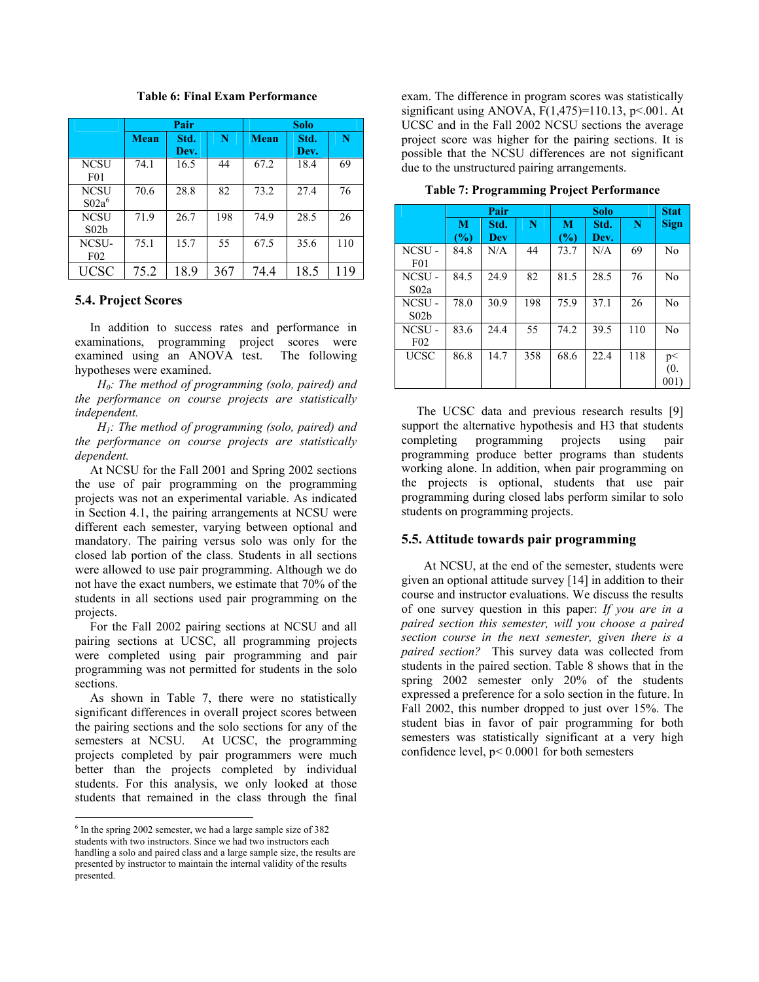|                                 | Pair        |      |     | <b>Solo</b> |      |     |
|---------------------------------|-------------|------|-----|-------------|------|-----|
|                                 | <b>Mean</b> | Std. | N   | <b>Mean</b> | Std. | N   |
|                                 |             | Dev. |     |             | Dev. |     |
| <b>NCSU</b><br>F01              | 74.1        | 16.5 | 44  | 67.2        | 18.4 | 69  |
| <b>NCSU</b><br>$S02a^6$         | 70.6        | 28.8 | 82  | 73.2        | 27.4 | 76  |
| <b>NCSU</b><br>S02 <sub>b</sub> | 71.9        | 26.7 | 198 | 74.9        | 28.5 | 26  |
| NCSU-<br>F <sub>02</sub>        | 75.1        | 15.7 | 55  | 67.5        | 35.6 | 110 |
| <b>UCSC</b>                     | 75.2        | 18.9 | 367 | 74.4        | 18.5 | 119 |

**Table 6: Final Exam Performance** 

#### **5.4. Project Scores**

In addition to success rates and performance in examinations, programming project scores were examined using an ANOVA test. The following hypotheses were examined.

 *H0: The method of programming (solo, paired) and the performance on course projects are statistically independent.* 

 *H1: The method of programming (solo, paired) and the performance on course projects are statistically dependent.* 

At NCSU for the Fall 2001 and Spring 2002 sections the use of pair programming on the programming projects was not an experimental variable. As indicated in Section 4.1, the pairing arrangements at NCSU were different each semester, varying between optional and mandatory. The pairing versus solo was only for the closed lab portion of the class. Students in all sections were allowed to use pair programming. Although we do not have the exact numbers, we estimate that 70% of the students in all sections used pair programming on the projects.

For the Fall 2002 pairing sections at NCSU and all pairing sections at UCSC, all programming projects were completed using pair programming and pair programming was not permitted for students in the solo sections.

As shown in Table 7, there were no statistically significant differences in overall project scores between the pairing sections and the solo sections for any of the semesters at NCSU. At UCSC, the programming projects completed by pair programmers were much better than the projects completed by individual students. For this analysis, we only looked at those students that remained in the class through the final

 $\overline{a}$ 

exam. The difference in program scores was statistically significant using ANOVA,  $F(1,475)=110.13$ ,  $p<0.001$ . At UCSC and in the Fall 2002 NCSU sections the average project score was higher for the pairing sections. It is possible that the NCSU differences are not significant due to the unstructured pairing arrangements.

**Table 7: Programming Project Performance** 

|                           | Pair     |             |     | <b>Solo</b> |              |     | <b>Stat</b>       |
|---------------------------|----------|-------------|-----|-------------|--------------|-----|-------------------|
|                           | M<br>(%) | Std.<br>Dev | N   | M<br>$(\%)$ | Std.<br>Dev. | N   | <b>Sign</b>       |
| NCSU-<br>F01              | 84.8     | N/A         | 44  | 73.7        | N/A          | 69  | No                |
| NCSU-<br>S <sub>02a</sub> | 84.5     | 24.9        | 82  | 81.5        | 28.5         | 76  | No                |
| NCSU-<br>S02 <sub>b</sub> | 78.0     | 30.9        | 198 | 75.9        | 37.1         | 26  | No                |
| NCSU-<br>F <sub>02</sub>  | 83.6     | 24.4        | 55  | 74.2        | 39.5         | 110 | N <sub>0</sub>    |
| <b>UCSC</b>               | 86.8     | 14.7        | 358 | 68.6        | 22.4         | 118 | p<<br>(0.<br>001) |

The UCSC data and previous research results [9] support the alternative hypothesis and H3 that students completing programming projects using pair programming produce better programs than students working alone. In addition, when pair programming on the projects is optional, students that use pair programming during closed labs perform similar to solo students on programming projects.

#### **5.5. Attitude towards pair programming**

At NCSU, at the end of the semester, students were given an optional attitude survey [14] in addition to their course and instructor evaluations. We discuss the results of one survey question in this paper: *If you are in a paired section this semester, will you choose a paired section course in the next semester, given there is a paired section?* This survey data was collected from students in the paired section. Table 8 shows that in the spring 2002 semester only 20% of the students expressed a preference for a solo section in the future. In Fall 2002, this number dropped to just over 15%. The student bias in favor of pair programming for both semesters was statistically significant at a very high confidence level, p< 0.0001 for both semesters

<sup>&</sup>lt;sup>6</sup> In the spring 2002 semester, we had a large sample size of 382 students with two instructors. Since we had two instructors each handling a solo and paired class and a large sample size, the results are presented by instructor to maintain the internal validity of the results presented.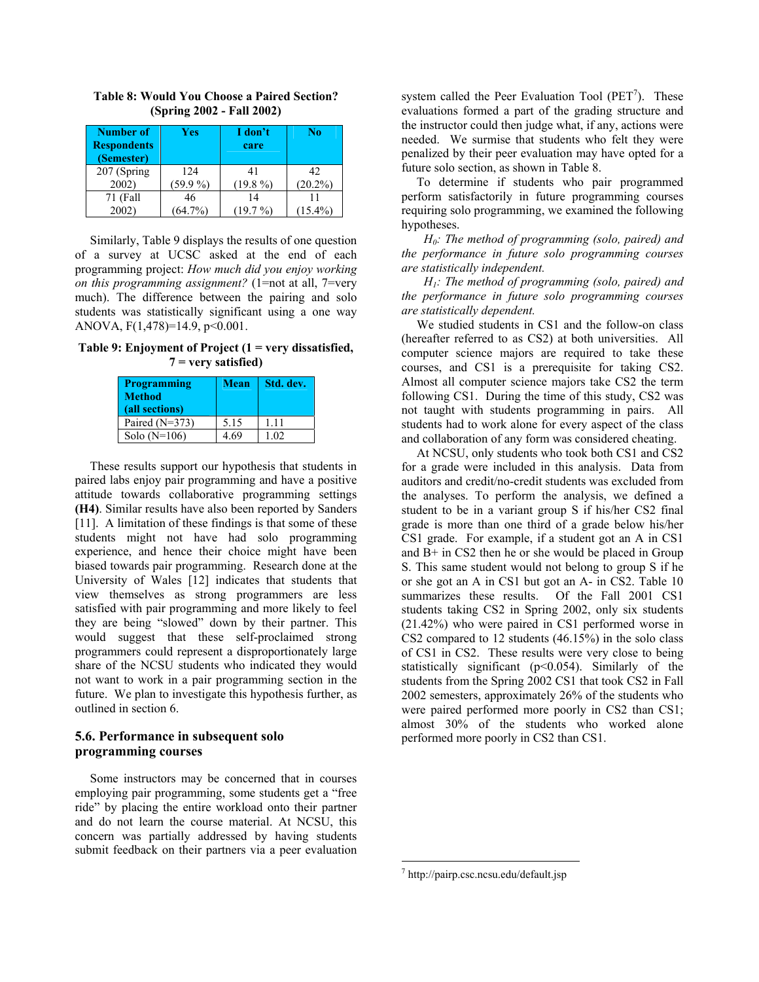| Number of<br><b>Respondents</b><br>(Semester) | Yes        | I don't<br>care | No         |
|-----------------------------------------------|------------|-----------------|------------|
| 207 (Spring                                   | 12.4       | 41              | 42         |
| 2002)                                         | $(59.9\%)$ | $(19.8\%)$      | $(20.2\%)$ |
| 71 (Fall                                      | 46         | 14              |            |
| 2002)                                         | $(64.7\%)$ | (19.7%)         | $(15.4\%)$ |

**Table 8: Would You Choose a Paired Section? (Spring 2002 - Fall 2002)** 

Similarly, Table 9 displays the results of one question of a survey at UCSC asked at the end of each programming project: *How much did you enjoy working on this programming assignment?* (1=not at all, 7=very much). The difference between the pairing and solo students was statistically significant using a one way ANOVA, F(1,478)=14.9, p<0.001.

**Table 9: Enjoyment of Project (1 = very dissatisfied, 7 = very satisfied)** 

| <b>Programming</b><br><b>Method</b><br>(all sections) | <b>Mean</b> | Std. dev. |
|-------------------------------------------------------|-------------|-----------|
| Paired $(N=373)$                                      | 5.15        | 111       |
| Solo $(N=106)$                                        | 4.69        | 1 02      |

These results support our hypothesis that students in paired labs enjoy pair programming and have a positive attitude towards collaborative programming settings **(H4)**. Similar results have also been reported by Sanders [11]. A limitation of these findings is that some of these students might not have had solo programming experience, and hence their choice might have been biased towards pair programming. Research done at the University of Wales [12] indicates that students that view themselves as strong programmers are less satisfied with pair programming and more likely to feel they are being "slowed" down by their partner. This would suggest that these self-proclaimed strong programmers could represent a disproportionately large share of the NCSU students who indicated they would not want to work in a pair programming section in the future. We plan to investigate this hypothesis further, as outlined in section 6.

## **5.6. Performance in subsequent solo programming courses**

Some instructors may be concerned that in courses employing pair programming, some students get a "free ride" by placing the entire workload onto their partner and do not learn the course material. At NCSU, this concern was partially addressed by having students submit feedback on their partners via a peer evaluation

system called the Peer Evaluation Tool  $(PET<sup>7</sup>)$ . These evaluations formed a part of the grading structure and the instructor could then judge what, if any, actions were needed. We surmise that students who felt they were penalized by their peer evaluation may have opted for a future solo section, as shown in Table 8.

To determine if students who pair programmed perform satisfactorily in future programming courses requiring solo programming, we examined the following hypotheses.

 *H0: The method of programming (solo, paired) and the performance in future solo programming courses are statistically independent.* 

 *H1: The method of programming (solo, paired) and the performance in future solo programming courses are statistically dependent.* 

We studied students in CS1 and the follow-on class (hereafter referred to as CS2) at both universities. All computer science majors are required to take these courses, and CS1 is a prerequisite for taking CS2. Almost all computer science majors take CS2 the term following CS1. During the time of this study, CS2 was not taught with students programming in pairs. All students had to work alone for every aspect of the class and collaboration of any form was considered cheating.

At NCSU, only students who took both CS1 and CS2 for a grade were included in this analysis. Data from auditors and credit/no-credit students was excluded from the analyses. To perform the analysis, we defined a student to be in a variant group S if his/her CS2 final grade is more than one third of a grade below his/her CS1 grade. For example, if a student got an A in CS1 and B+ in CS2 then he or she would be placed in Group S. This same student would not belong to group S if he or she got an A in CS1 but got an A- in CS2. Table 10 summarizes these results. Of the Fall 2001 CS1 students taking CS2 in Spring 2002, only six students (21.42%) who were paired in CS1 performed worse in CS2 compared to 12 students (46.15%) in the solo class of CS1 in CS2. These results were very close to being statistically significant (p<0.054). Similarly of the students from the Spring 2002 CS1 that took CS2 in Fall 2002 semesters, approximately 26% of the students who were paired performed more poorly in CS2 than CS1; almost 30% of the students who worked alone performed more poorly in CS2 than CS1.

 $\overline{a}$ 

<sup>7</sup> http://pairp.csc.ncsu.edu/default.jsp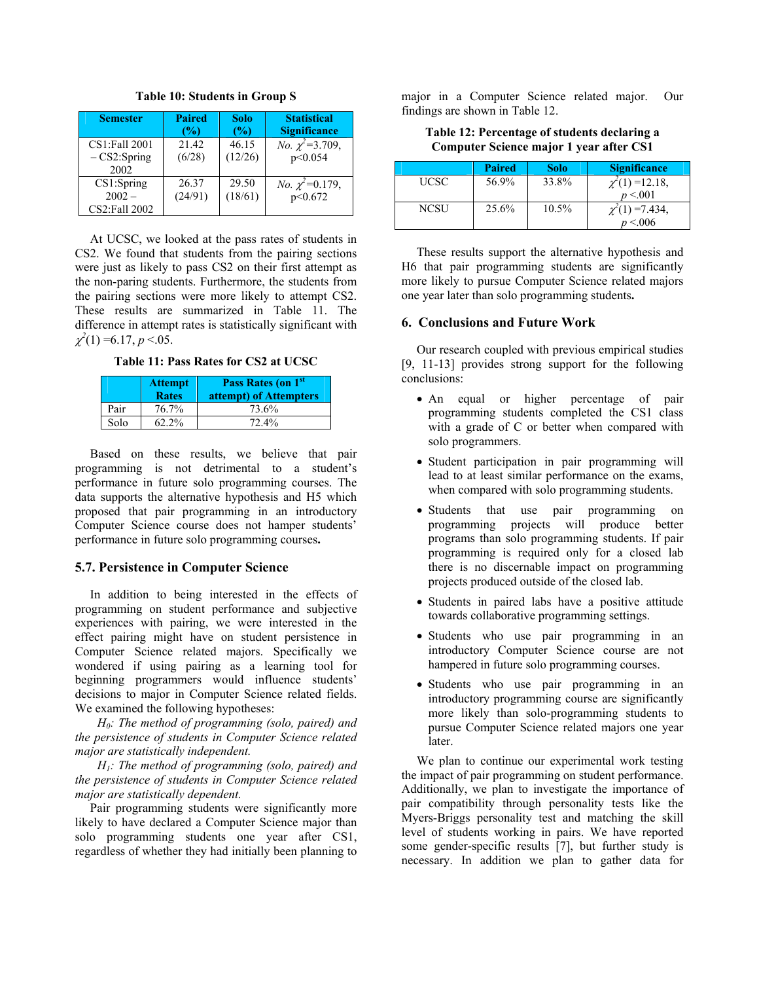| <b>Semester</b>        | <b>Paired</b><br>(%) | <b>Solo</b><br>(%) | <b>Statistical</b><br><b>Significance</b> |
|------------------------|----------------------|--------------------|-------------------------------------------|
| CS1:Fall 2001          | 21.42                | 46.15              | <i>No.</i> $\chi^2$ =3.709,               |
| $-$ CS2:Spring<br>2002 | (6/28)               | (12/26)            | p<0.054                                   |
| CS1:Spring             | 26.37                | 29.50              | <i>No.</i> $\chi^2$ =0.179,               |
| $2002 -$               | (24/91)              | (18/61)            | p<0.672                                   |
| CS2: Fall 2002         |                      |                    |                                           |

**Table 10: Students in Group S** 

At UCSC, we looked at the pass rates of students in CS2. We found that students from the pairing sections were just as likely to pass CS2 on their first attempt as the non-paring students. Furthermore, the students from the pairing sections were more likely to attempt CS2. These results are summarized in Table 11. The difference in attempt rates is statistically significant with  $\chi^2(1) = 6.17, p < 0.05$ .

**Table 11: Pass Rates for CS2 at UCSC** 

|      | <b>Attempt</b><br><b>Rates</b> | Pass Rates (on 1 <sup>st</sup><br>attempt) of Attempters |
|------|--------------------------------|----------------------------------------------------------|
| Pair | 76.7%                          | 73.6%                                                    |
| Solo | 62.2%                          | 72.4%                                                    |

Based on these results, we believe that pair programming is not detrimental to a student's performance in future solo programming courses. The data supports the alternative hypothesis and H5 which proposed that pair programming in an introductory Computer Science course does not hamper students' performance in future solo programming courses**.** 

### **5.7. Persistence in Computer Science**

In addition to being interested in the effects of programming on student performance and subjective experiences with pairing, we were interested in the effect pairing might have on student persistence in Computer Science related majors. Specifically we wondered if using pairing as a learning tool for beginning programmers would influence students' decisions to major in Computer Science related fields. We examined the following hypotheses:

 *H0: The method of programming (solo, paired) and the persistence of students in Computer Science related major are statistically independent.* 

 *H1: The method of programming (solo, paired) and the persistence of students in Computer Science related major are statistically dependent.* 

Pair programming students were significantly more likely to have declared a Computer Science major than solo programming students one year after CS1, regardless of whether they had initially been planning to

major in a Computer Science related major. Our findings are shown in Table 12.

**Table 12: Percentage of students declaring a Computer Science major 1 year after CS1** 

|      | <b>Paired</b> | <b>Solo</b> | <b>Significance</b>   |
|------|---------------|-------------|-----------------------|
| UCSC | 56.9%         | 33.8%       | $\chi^2(1) = 12.18$ , |
|      |               |             | p < 0.001             |
| NCSU | 25.6%         | 10.5%       | $\chi^2(1) = 7.434,$  |
|      |               |             | p < 0.06              |

These results support the alternative hypothesis and H6 that pair programming students are significantly more likely to pursue Computer Science related majors one year later than solo programming students**.** 

### **6. Conclusions and Future Work**

Our research coupled with previous empirical studies [9, 11-13] provides strong support for the following conclusions:

- An equal or higher percentage of pair programming students completed the CS1 class with a grade of C or better when compared with solo programmers.
- Student participation in pair programming will lead to at least similar performance on the exams, when compared with solo programming students.
- Students that use pair programming on programming projects will produce better programs than solo programming students. If pair programming is required only for a closed lab there is no discernable impact on programming projects produced outside of the closed lab.
- Students in paired labs have a positive attitude towards collaborative programming settings.
- Students who use pair programming in an introductory Computer Science course are not hampered in future solo programming courses.
- Students who use pair programming in an introductory programming course are significantly more likely than solo-programming students to pursue Computer Science related majors one year later.

We plan to continue our experimental work testing the impact of pair programming on student performance. Additionally, we plan to investigate the importance of pair compatibility through personality tests like the Myers-Briggs personality test and matching the skill level of students working in pairs. We have reported some gender-specific results [7], but further study is necessary. In addition we plan to gather data for